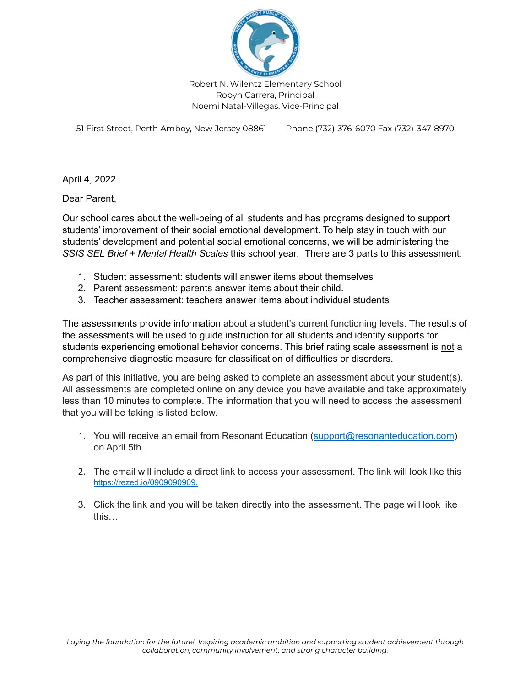

51 First Street, Perth Amboy, New Jersey 08861 Phone (732)-376-6070 Fax (732)-347-8970

April 4, 2022

Dear Parent,

Our school cares about the well-being of all students and has programs designed to support students' improvement of their social emotional development. To help stay in touch with our students' development and potential social emotional concerns, we will be administering the *SSIS SEL Brief + Mental Health Scales* this school year*.* There are 3 parts to this assessment:

- 1. Student assessment: students will answer items about themselves
- 2. Parent assessment: parents answer items about their child.
- 3. Teacher assessment: teachers answer items about individual students

The assessments provide information about a student's current functioning levels. The results of the assessments will be used to guide instruction for all students and identify supports for students experiencing emotional behavior concerns. This brief rating scale assessment is not a comprehensive diagnostic measure for classification of difficulties or disorders.

As part of this initiative, you are being asked to complete an assessment about your student(s). All assessments are completed online on any device you have available and take approximately less than 10 minutes to complete. The information that you will need to access the assessment that you will be taking is listed below.

- 1. You will receive an email from Resonant Education ([support@resonanteducation.com\)](mailto:support@resonanteducation.com) on April 5th.
- 2. The email will include a direct link to access your assessment. The link will look like this <https://rezed.io/0909090909.>
- 3. Click the link and you will be taken directly into the assessment. The page will look like this…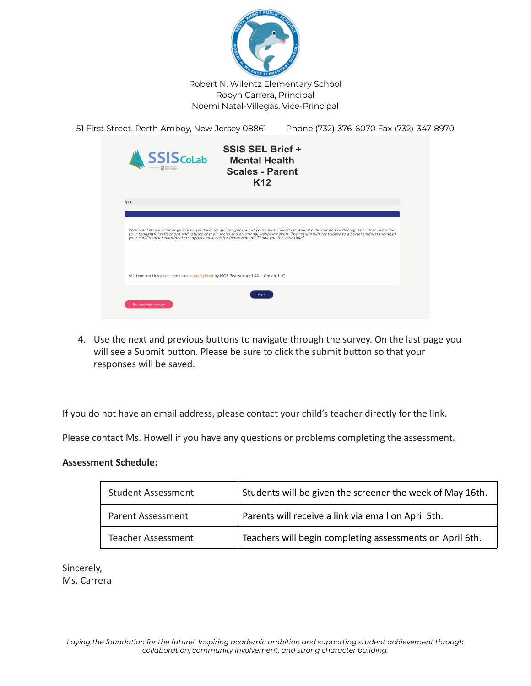

| 51 First Street, Perth Amboy, New Jersey 08861                                              |                                                                                              | Phone (732)-376-6070 Fax (732)-347-8970                                                                                                                                                                                                                                                        |  |
|---------------------------------------------------------------------------------------------|----------------------------------------------------------------------------------------------|------------------------------------------------------------------------------------------------------------------------------------------------------------------------------------------------------------------------------------------------------------------------------------------------|--|
| <b>SSIS</b> CoLab                                                                           | <b>SSIS SEL Brief +</b><br><b>Mental Health</b><br><b>Scales - Parent</b><br>K <sub>12</sub> |                                                                                                                                                                                                                                                                                                |  |
| 0/5                                                                                         |                                                                                              |                                                                                                                                                                                                                                                                                                |  |
| your child's social emotional strengths and areas for improvement. Thank you for your time! |                                                                                              | Welcome! As a parent or guardian, you have unique insights about your child's social emotional behavior and wellbeing. Therefore, we value<br>your thoughtful reflections and ratings of their social and emotional wellbeing skills. The results will contribute to a better understanding of |  |
| All items on this assessment are copyrighted by NCS Pearson and SAIL CoLab, LLC.            |                                                                                              |                                                                                                                                                                                                                                                                                                |  |
| Exit and clear survey                                                                       | <b>Next</b>                                                                                  |                                                                                                                                                                                                                                                                                                |  |
|                                                                                             |                                                                                              |                                                                                                                                                                                                                                                                                                |  |

4. Use the next and previous buttons to navigate through the survey. On the last page you will see a Submit button. Please be sure to click the submit button so that your responses will be saved.

If you do not have an email address, please contact your child's teacher directly for the link.

Please contact Ms. Howell if you have any questions or problems completing the assessment.

## **Assessment Schedule:**

| <b>Student Assessment</b> | Students will be given the screener the week of May 16th. |
|---------------------------|-----------------------------------------------------------|
| <b>Parent Assessment</b>  | Parents will receive a link via email on April 5th.       |
| <b>Teacher Assessment</b> | Teachers will begin completing assessments on April 6th.  |

Sincerely, Ms. Carrera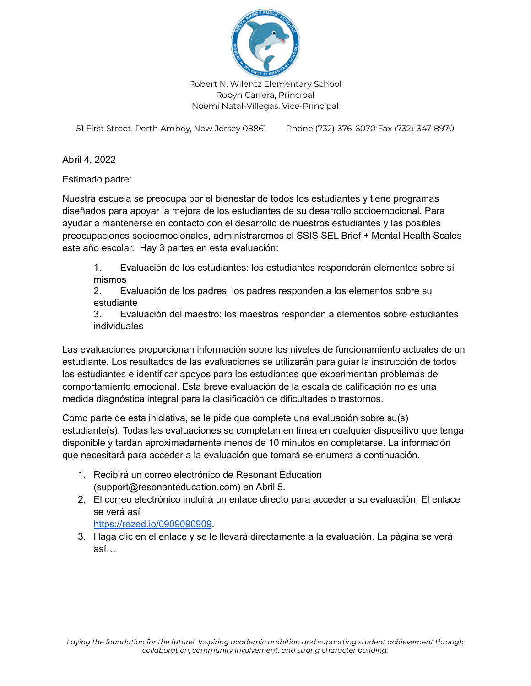

51 First Street, Perth Amboy, New Jersey 08861 Phone (732)-376-6070 Fax (732)-347-8970

Abril 4, 2022

Estimado padre:

Nuestra escuela se preocupa por el bienestar de todos los estudiantes y tiene programas diseñados para apoyar la mejora de los estudiantes de su desarrollo socioemocional. Para ayudar a mantenerse en contacto con el desarrollo de nuestros estudiantes y las posibles preocupaciones socioemocionales, administraremos el SSIS SEL Brief + Mental Health Scales este año escolar. Hay 3 partes en esta evaluación:

1. Evaluación de los estudiantes: los estudiantes responderán elementos sobre sí mismos

2. Evaluación de los padres: los padres responden a los elementos sobre su estudiante

3. Evaluación del maestro: los maestros responden a elementos sobre estudiantes individuales

Las evaluaciones proporcionan información sobre los niveles de funcionamiento actuales de un estudiante. Los resultados de las evaluaciones se utilizarán para guiar la instrucción de todos los estudiantes e identificar apoyos para los estudiantes que experimentan problemas de comportamiento emocional. Esta breve evaluación de la escala de calificación no es una medida diagnóstica integral para la clasificación de dificultades o trastornos.

Como parte de esta iniciativa, se le pide que complete una evaluación sobre su(s) estudiante(s). Todas las evaluaciones se completan en línea en cualquier dispositivo que tenga disponible y tardan aproximadamente menos de 10 minutos en completarse. La información que necesitará para acceder a la evaluación que tomará se enumera a continuación.

- 1. Recibirá un correo electrónico de Resonant Education (support@resonanteducation.com) en Abril 5.
- 2. El correo electrónico incluirá un enlace directo para acceder a su evaluación. El enlace se verá así
	- <https://rezed.io/0909090909>.
- 3. Haga clic en el enlace y se le llevará directamente a la evaluación. La página se verá así…